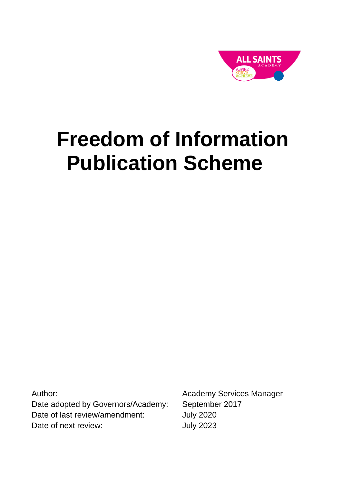

# **Freedom of Information Publication Scheme**

Author: Date adopted by Governors/Academy: Date of last review/amendment: Date of next review:

Academy Services Manager September 2017 July 2020 July 2023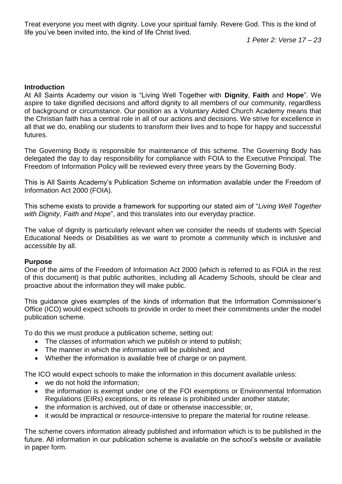*1 Peter 2: Verse 17 – 23*

#### **Introduction**

At All Saints Academy our vision is "Living Well Together with **Dignity**, **Faith** and **Hope**". We aspire to take dignified decisions and afford dignity to all members of our community, regardless of background or circumstance. Our position as a Voluntary Aided Church Academy means that the Christian faith has a central role in all of our actions and decisions. We strive for excellence in all that we do, enabling our students to transform their lives and to hope for happy and successful futures.

The Governing Body is responsible for maintenance of this scheme. The Governing Body has delegated the day to day responsibility for compliance with FOIA to the Executive Principal. The Freedom of Information Policy will be reviewed every three years by the Governing Body.

This is All Saints Academy's Publication Scheme on information available under the Freedom of Information Act 2000 (FOIA).

This scheme exists to provide a framework for supporting our stated aim of "*Living Well Together with Dignity, Faith and Hope*", and this translates into our everyday practice.

The value of dignity is particularly relevant when we consider the needs of students with Special Educational Needs or Disabilities as we want to promote a community which is inclusive and accessible by all.

#### **Purpose**

One of the aims of the Freedom of Information Act 2000 (which is referred to as FOIA in the rest of this document) is that public authorities, including all Academy Schools, should be clear and proactive about the information they will make public.

This guidance gives examples of the kinds of information that the Information Commissioner's Office (ICO) would expect schools to provide in order to meet their commitments under the model publication scheme.

To do this we must produce a publication scheme, setting out:

- The classes of information which we publish or intend to publish;
- The manner in which the information will be published: and
- Whether the information is available free of charge or on payment.

The ICO would expect schools to make the information in this document available unless:

- we do not hold the information;
- the information is exempt under one of the FOI exemptions or Environmental Information Regulations (EIRs) exceptions, or its release is prohibited under another statute;
- the information is archived, out of date or otherwise inaccessible; or,
- it would be impractical or resource-intensive to prepare the material for routine release.

The scheme covers information already published and information which is to be published in the future. All information in our publication scheme is available on the school's website or available in paper form.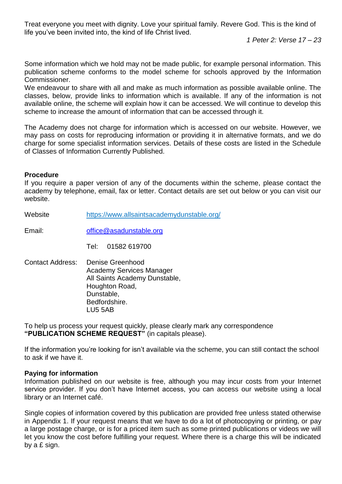*1 Peter 2: Verse 17 – 23*

Some information which we hold may not be made public, for example personal information. This publication scheme conforms to the model scheme for schools approved by the Information Commissioner.

We endeavour to share with all and make as much information as possible available online. The classes, below, provide links to information which is available. If any of the information is not available online, the scheme will explain how it can be accessed. We will continue to develop this scheme to increase the amount of information that can be accessed through it.

The Academy does not charge for information which is accessed on our website. However, we may pass on costs for reproducing information or providing it in alternative formats, and we do charge for some specialist information services. Details of these costs are listed in the Schedule of Classes of Information Currently Published.

#### **Procedure**

If you require a paper version of any of the documents within the scheme, please contact the academy by telephone, email, fax or letter. Contact details are set out below or you can visit our website.

Website <https://www.allsaintsacademydunstable.org/>

Email: [office@asadunstable.org](mailto:office@asadunstable.org)

Tel: 01582 619700

Contact Address: Denise Greenhood Academy Services Manager All Saints Academy Dunstable, Houghton Road, Dunstable, Bedfordshire. LU5 5AB

To help us process your request quickly, please clearly mark any correspondence **"PUBLICATION SCHEME REQUEST"** (in capitals please).

If the information you're looking for isn't available via the scheme, you can still contact the school to ask if we have it.

#### **Paying for information**

Information published on our website is free, although you may incur costs from your Internet service provider. If you don't have Internet access, you can access our website using a local library or an Internet café.

Single copies of information covered by this publication are provided free unless stated otherwise in Appendix 1. If your request means that we have to do a lot of photocopying or printing, or pay a large postage charge, or is for a priced item such as some printed publications or videos we will let you know the cost before fulfilling your request. Where there is a charge this will be indicated by a £ sign.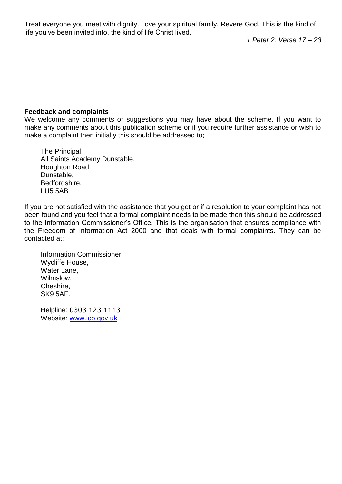*1 Peter 2: Verse 17 – 23*

#### **Feedback and complaints**

We welcome any comments or suggestions you may have about the scheme. If you want to make any comments about this publication scheme or if you require further assistance or wish to make a complaint then initially this should be addressed to;

The Principal, All Saints Academy Dunstable, Houghton Road, Dunstable, Bedfordshire. LU5 5AB

If you are not satisfied with the assistance that you get or if a resolution to your complaint has not been found and you feel that a formal complaint needs to be made then this should be addressed to the Information Commissioner's Office. This is the organisation that ensures compliance with the Freedom of Information Act 2000 and that deals with formal complaints. They can be contacted at:

Information Commissioner, Wycliffe House, Water Lane, Wilmslow, Cheshire, SK9 5AF.

Helpline: 0303 123 1113 Website: [www.ico.gov.uk](http://www.ico.gov.uk/)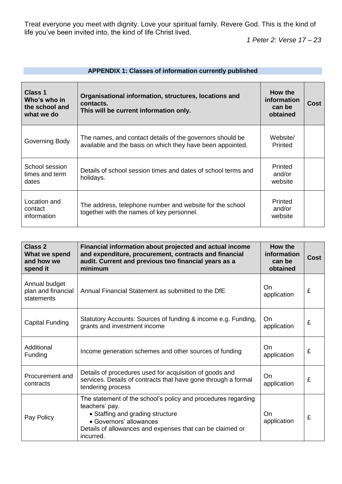*1 Peter 2: Verse 17 – 23*

| Class 1<br>Who's who in<br>the school and<br>what we do | Organisational information, structures, locations and<br>contacts.<br>This will be current information only.            | How the<br><i>information</i><br>can be<br>obtained | Cost |
|---------------------------------------------------------|-------------------------------------------------------------------------------------------------------------------------|-----------------------------------------------------|------|
| Governing Body                                          | The names, and contact details of the governors should be<br>available and the basis on which they have been appointed. | Website/<br>Printed                                 |      |
| School session<br>times and term<br>dates               | Details of school session times and dates of school terms and<br>holidays.                                              | Printed<br>and/or<br>website                        |      |
| Location and<br>contact<br>information                  | The address, telephone number and website for the school<br>together with the names of key personnel.                   | Printed<br>and/or<br>website                        |      |

| <b>APPENDIX 1: Classes of information currently published</b> |  |
|---------------------------------------------------------------|--|
|---------------------------------------------------------------|--|

| Class 2<br>What we spend<br>and how we<br>spend it | Financial information about projected and actual income<br>and expenditure, procurement, contracts and financial<br>audit. Current and previous two financial years as a<br>minimum                                      | How the<br>information<br>can be<br>obtained | <b>Cost</b> |
|----------------------------------------------------|--------------------------------------------------------------------------------------------------------------------------------------------------------------------------------------------------------------------------|----------------------------------------------|-------------|
| Annual budget<br>plan and financial<br>statements  | Annual Financial Statement as submitted to the DfE                                                                                                                                                                       | On.<br>application                           | £           |
| <b>Capital Funding</b>                             | Statutory Accounts: Sources of funding & income e.g. Funding,<br>grants and investment income                                                                                                                            | On.<br>application                           | £           |
| Additional<br>Funding                              | Income generation schemes and other sources of funding                                                                                                                                                                   | On<br>application                            | £           |
| Procurement and<br>contracts                       | Details of procedures used for acquisition of goods and<br>services. Details of contracts that have gone through a formal<br>tendering process                                                                           | On<br>application                            | £           |
| Pay Policy                                         | The statement of the school's policy and procedures regarding<br>teachers' pay.<br>• Staffing and grading structure<br>• Governors' allowances<br>Details of allowances and expenses that can be claimed or<br>incurred. | On<br>application                            | £           |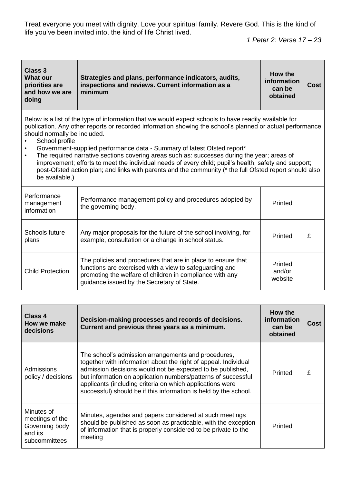*1 Peter 2: Verse 17 – 23*

| Class 3<br><b>What our</b><br>priorities are<br>and how we are<br>doing                    | Strategies and plans, performance indicators, audits,<br>inspections and reviews. Current information as a<br>minimum                                                                                                                                                                                                                                                                                                                                                                                                                                                                                            | How the<br>information<br>can be<br>obtained | <b>Cost</b> |
|--------------------------------------------------------------------------------------------|------------------------------------------------------------------------------------------------------------------------------------------------------------------------------------------------------------------------------------------------------------------------------------------------------------------------------------------------------------------------------------------------------------------------------------------------------------------------------------------------------------------------------------------------------------------------------------------------------------------|----------------------------------------------|-------------|
| should normally be included.<br>School profile<br>$\bullet$<br>$\bullet$<br>be available.) | Below is a list of the type of information that we would expect schools to have readily available for<br>publication. Any other reports or recorded information showing the school's planned or actual performance<br>Government-supplied performance data - Summary of latest Ofsted report*<br>The required narrative sections covering areas such as: successes during the year; areas of<br>improvement; efforts to meet the individual needs of every child; pupil's health, safety and support;<br>post-Ofsted action plan; and links with parents and the community (* the full Ofsted report should also |                                              |             |
| Performance<br>management<br>information                                                   | Performance management policy and procedures adopted by<br>the governing body.                                                                                                                                                                                                                                                                                                                                                                                                                                                                                                                                   | Printed                                      |             |
| Schools future<br>plans                                                                    | Any major proposals for the future of the school involving, for<br>example, consultation or a change in school status.                                                                                                                                                                                                                                                                                                                                                                                                                                                                                           | Printed                                      | £           |
| <b>Child Protection</b>                                                                    | The policies and procedures that are in place to ensure that<br>functions are exercised with a view to safeguarding and<br>promoting the welfare of children in compliance with any<br>guidance issued by the Secretary of State.                                                                                                                                                                                                                                                                                                                                                                                | Printed<br>and/or<br>website                 |             |
|                                                                                            |                                                                                                                                                                                                                                                                                                                                                                                                                                                                                                                                                                                                                  |                                              |             |

| Class 4<br>How we make<br>decisions                                         | Decision-making processes and records of decisions.<br>Current and previous three years as a minimum.                                                                                                                                                                                                                                                                                  | How the<br>information<br>can be<br>obtained | Cost |
|-----------------------------------------------------------------------------|----------------------------------------------------------------------------------------------------------------------------------------------------------------------------------------------------------------------------------------------------------------------------------------------------------------------------------------------------------------------------------------|----------------------------------------------|------|
| <b>Admissions</b><br>policy / decisions                                     | The school's admission arrangements and procedures,<br>together with information about the right of appeal. Individual<br>admission decisions would not be expected to be published,<br>but information on application numbers/patterns of successful<br>applicants (including criteria on which applications were<br>successful) should be if this information is held by the school. | Printed                                      | £    |
| Minutes of<br>meetings of the<br>Governing body<br>and its<br>subcommittees | Minutes, agendas and papers considered at such meetings<br>should be published as soon as practicable, with the exception<br>of information that is properly considered to be private to the<br>meeting                                                                                                                                                                                | Printed                                      |      |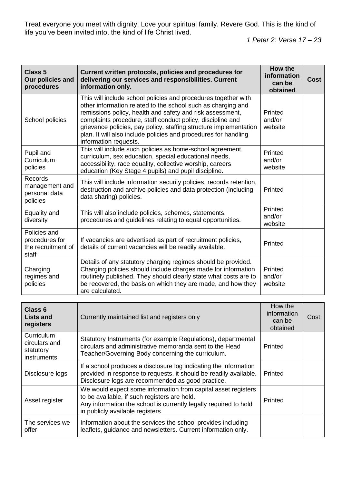| <b>Class 5</b><br>Our policies and<br>procedures              | Current written protocols, policies and procedures for<br>delivering our services and responsibilities. Current<br>information only.                                                                                                                                                                                                                                                                                       | How the<br>information<br>can be<br>obtained | <b>Cost</b> |
|---------------------------------------------------------------|----------------------------------------------------------------------------------------------------------------------------------------------------------------------------------------------------------------------------------------------------------------------------------------------------------------------------------------------------------------------------------------------------------------------------|----------------------------------------------|-------------|
| School policies                                               | This will include school policies and procedures together with<br>other information related to the school such as charging and<br>remissions policy, health and safety and risk assessment,<br>complaints procedure, staff conduct policy, discipline and<br>grievance policies, pay policy, staffing structure implementation<br>plan. It will also include policies and procedures for handling<br>information requests. | Printed<br>and/or<br>website                 |             |
| Pupil and<br>Curriculum<br>policies                           | This will include such policies as home-school agreement,<br>curriculum, sex education, special educational needs,<br>accessibility, race equality, collective worship, careers<br>education (Key Stage 4 pupils) and pupil discipline.                                                                                                                                                                                    | Printed<br>and/or<br>website                 |             |
| Records<br>management and<br>personal data<br>policies        | This will include information security policies, records retention,<br>destruction and archive policies and data protection (including<br>data sharing) policies.                                                                                                                                                                                                                                                          | Printed                                      |             |
| Equality and<br>diversity                                     | This will also include policies, schemes, statements,<br>procedures and guidelines relating to equal opportunities.                                                                                                                                                                                                                                                                                                        | Printed<br>and/or<br>website                 |             |
| Policies and<br>procedures for<br>the recruitment of<br>staff | If vacancies are advertised as part of recruitment policies,<br>details of current vacancies will be readily available.                                                                                                                                                                                                                                                                                                    | Printed                                      |             |
| Charging<br>regimes and<br>policies                           | Details of any statutory charging regimes should be provided.<br>Charging policies should include charges made for information<br>routinely published. They should clearly state what costs are to<br>be recovered, the basis on which they are made, and how they<br>are calculated.                                                                                                                                      | Printed<br>and/or<br>website                 |             |

| Class 6<br><b>Lists and</b><br>registers                | Currently maintained list and registers only                                                                                                                                                                         | How the<br>information<br>can be<br>obtained | Cost |
|---------------------------------------------------------|----------------------------------------------------------------------------------------------------------------------------------------------------------------------------------------------------------------------|----------------------------------------------|------|
| Curriculum<br>circulars and<br>statutory<br>instruments | Statutory Instruments (for example Regulations), departmental<br>circulars and administrative memoranda sent to the Head<br>Teacher/Governing Body concerning the curriculum.                                        | Printed                                      |      |
| Disclosure logs                                         | If a school produces a disclosure log indicating the information<br>provided in response to requests, it should be readily available.<br>Disclosure logs are recommended as good practice.                           | Printed                                      |      |
| Asset register                                          | We would expect some information from capital asset registers<br>to be available, if such registers are held.<br>Any information the school is currently legally required to hold<br>in publicly available registers | Printed                                      |      |
| The services we<br>offer                                | Information about the services the school provides including<br>leaflets, guidance and newsletters. Current information only.                                                                                        |                                              |      |